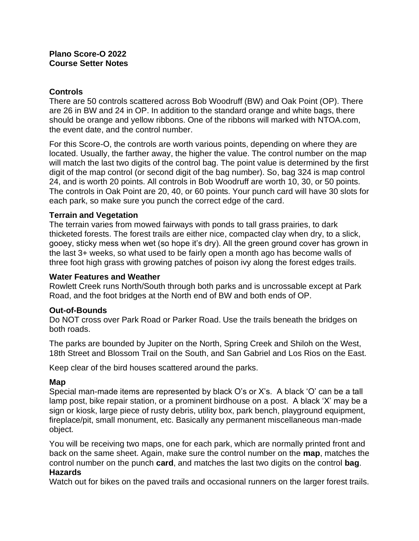# **Controls**

There are 50 controls scattered across Bob Woodruff (BW) and Oak Point (OP). There are 26 in BW and 24 in OP. In addition to the standard orange and white bags, there should be orange and yellow ribbons. One of the ribbons will marked with NTOA.com, the event date, and the control number.

For this Score-O, the controls are worth various points, depending on where they are located. Usually, the farther away, the higher the value. The control number on the map will match the last two digits of the control bag. The point value is determined by the first digit of the map control (or second digit of the bag number). So, bag 324 is map control 24, and is worth 20 points. All controls in Bob Woodruff are worth 10, 30, or 50 points. The controls in Oak Point are 20, 40, or 60 points. Your punch card will have 30 slots for each park, so make sure you punch the correct edge of the card.

## **Terrain and Vegetation**

The terrain varies from mowed fairways with ponds to tall grass prairies, to dark thicketed forests. The forest trails are either nice, compacted clay when dry, to a slick, gooey, sticky mess when wet (so hope it's dry). All the green ground cover has grown in the last 3+ weeks, so what used to be fairly open a month ago has become walls of three foot high grass with growing patches of poison ivy along the forest edges trails.

#### **Water Features and Weather**

Rowlett Creek runs North/South through both parks and is uncrossable except at Park Road, and the foot bridges at the North end of BW and both ends of OP.

## **Out-of-Bounds**

Do NOT cross over Park Road or Parker Road. Use the trails beneath the bridges on both roads.

The parks are bounded by Jupiter on the North, Spring Creek and Shiloh on the West, 18th Street and Blossom Trail on the South, and San Gabriel and Los Rios on the East.

Keep clear of the bird houses scattered around the parks.

## **Map**

Special man-made items are represented by black O's or X's. A black 'O' can be a tall lamp post, bike repair station, or a prominent birdhouse on a post. A black 'X' may be a sign or kiosk, large piece of rusty debris, utility box, park bench, playground equipment, fireplace/pit, small monument, etc. Basically any permanent miscellaneous man-made object.

You will be receiving two maps, one for each park, which are normally printed front and back on the same sheet. Again, make sure the control number on the **map**, matches the control number on the punch **card**, and matches the last two digits on the control **bag**. **Hazards**

Watch out for bikes on the paved trails and occasional runners on the larger forest trails.